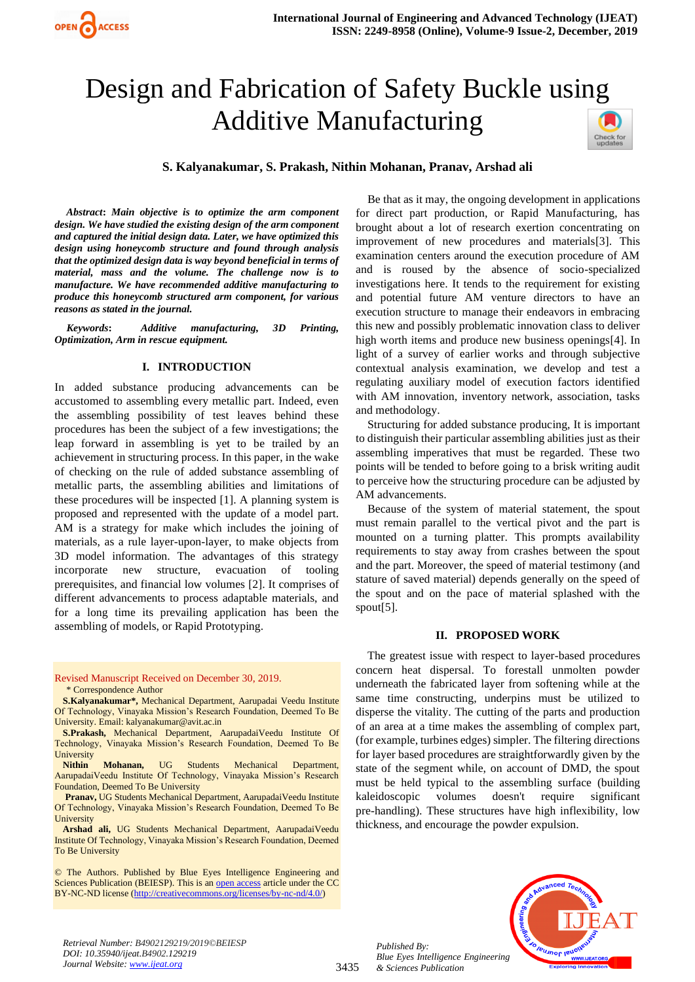# Design and Fabrication of Safety Buckle using Additive Manufacturing



## **S. Kalyanakumar, S. Prakash, Nithin Mohanan, Pranav, Arshad ali**

*Abstract***:** *Main objective is to optimize the arm component design. We have studied the existing design of the arm component and captured the initial design data. Later, we have optimized this design using honeycomb structure and found through analysis that the optimized design data is way beyond beneficial in terms of material, mass and the volume. The challenge now is to manufacture. We have recommended additive manufacturing to produce this honeycomb structured arm component, for various reasons as stated in the journal.*

*Keywords***:** *Additive manufacturing, 3D Printing, Optimization, Arm in rescue equipment.*

#### **I. INTRODUCTION**

In added substance producing advancements can be accustomed to assembling every metallic part. Indeed, even the assembling possibility of test leaves behind these procedures has been the subject of a few investigations; the leap forward in assembling is yet to be trailed by an achievement in structuring process. In this paper, in the wake of checking on the rule of added substance assembling of metallic parts, the assembling abilities and limitations of these procedures will be inspected [1]. A planning system is proposed and represented with the update of a model part. AM is a strategy for make which includes the joining of materials, as a rule layer-upon-layer, to make objects from 3D model information. The advantages of this strategy incorporate new structure, evacuation of tooling prerequisites, and financial low volumes [2]. It comprises of different advancements to process adaptable materials, and for a long time its prevailing application has been the assembling of models, or Rapid Prototyping.

Revised Manuscript Received on December 30, 2019. \* Correspondence Author

Be that as it may, the ongoing development in applications for direct part production, or Rapid Manufacturing, has brought about a lot of research exertion concentrating on improvement of new procedures and materials[3]. This examination centers around the execution procedure of AM and is roused by the absence of socio-specialized investigations here. It tends to the requirement for existing and potential future AM venture directors to have an execution structure to manage their endeavors in embracing this new and possibly problematic innovation class to deliver high worth items and produce new business openings[4]. In light of a survey of earlier works and through subjective contextual analysis examination, we develop and test a regulating auxiliary model of execution factors identified with AM innovation, inventory network, association, tasks and methodology.

Structuring for added substance producing, It is important to distinguish their particular assembling abilities just as their assembling imperatives that must be regarded. These two points will be tended to before going to a brisk writing audit to perceive how the structuring procedure can be adjusted by AM advancements.

Because of the system of material statement, the spout must remain parallel to the vertical pivot and the part is mounted on a turning platter. This prompts availability requirements to stay away from crashes between the spout and the part. Moreover, the speed of material testimony (and stature of saved material) depends generally on the speed of the spout and on the pace of material splashed with the spout[5].

#### **II. PROPOSED WORK**

The greatest issue with respect to layer-based procedures concern heat dispersal. To forestall unmolten powder underneath the fabricated layer from softening while at the same time constructing, underpins must be utilized to disperse the vitality. The cutting of the parts and production of an area at a time makes the assembling of complex part, (for example, turbines edges) simpler. The filtering directions for layer based procedures are straightforwardly given by the state of the segment while, on account of DMD, the spout must be held typical to the assembling surface (building kaleidoscopic volumes doesn't require significant pre-handling). These structures have high inflexibility, low thickness, and encourage the powder expulsion.



*Published By:*

*& Sciences Publication* 

**S.Kalyanakumar\*,** Mechanical Department, Aarupadai Veedu Institute Of Technology, Vinayaka Mission's Research Foundation, Deemed To Be University. Email[: kalyanakumar@avit.ac.in](mailto:kalyanakumar@avit.ac.in)

**S.Prakash,** Mechanical Department, AarupadaiVeedu Institute Of Technology, Vinayaka Mission's Research Foundation, Deemed To Be **University** 

**Nithin Mohanan,** UG Students Mechanical Department, AarupadaiVeedu Institute Of Technology, Vinayaka Mission's Research Foundation, Deemed To Be University

**Pranav,** UG Students Mechanical Department, AarupadaiVeedu Institute Of Technology, Vinayaka Mission's Research Foundation, Deemed To Be University

**Arshad ali,** UG Students Mechanical Department, AarupadaiVeedu Institute Of Technology, Vinayaka Mission's Research Foundation, Deemed To Be University

<sup>©</sup> The Authors. Published by Blue Eyes Intelligence Engineering and Sciences Publication (BEIESP). This is a[n open access](https://www.openaccess.nl/en/open-publications) article under the CC BY-NC-ND license [\(http://creativecommons.org/licenses/by-nc-nd/4.0/\)](http://creativecommons.org/licenses/by-nc-nd/4.0/)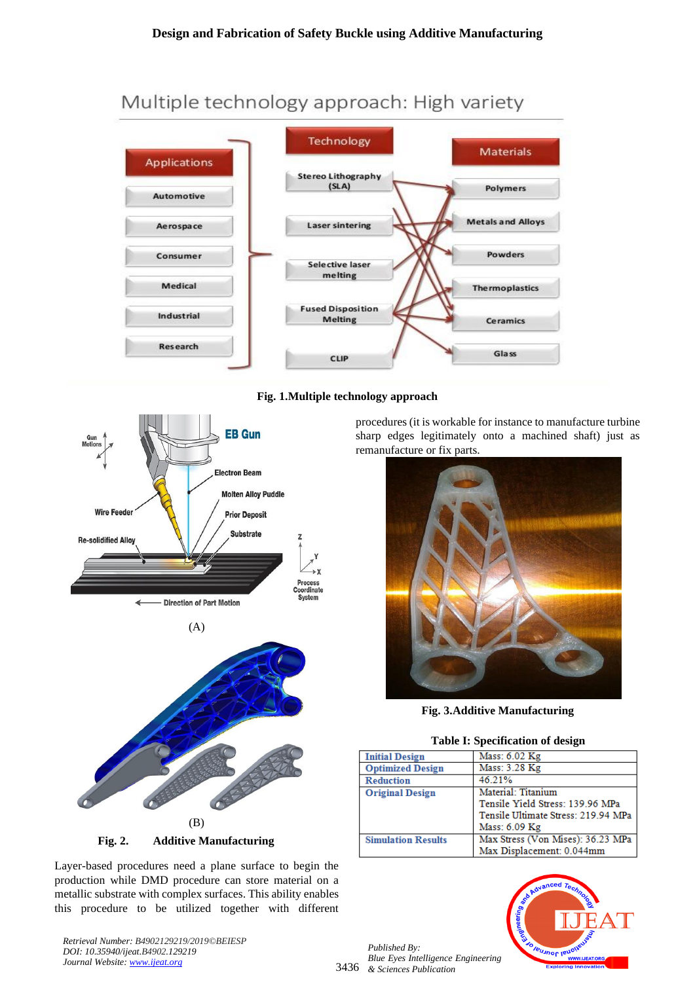# Multiple technology approach: High variety



# **Fig. 1.Multiple technology approach**







Layer-based procedures need a plane surface to begin the production while DMD procedure can store material on a metallic substrate with complex surfaces. This ability enables this procedure to be utilized together with different

*Retrieval Number: B4902129219/2019©BEIESP DOI: 10.35940/ijeat.B4902.129219 Journal Website: [www.ijeat.org](http://www.ijeat.org/)*

procedures (it is workable for instance to manufacture turbine sharp edges legitimately onto a machined shaft) just as remanufacture or fix parts.



**Fig. 3.Additive Manufacturing**

#### **Table I: Specification of design**

| <b>Initial Design</b>     | Mass: 6.02 Kg                       |
|---------------------------|-------------------------------------|
| <b>Optimized Design</b>   | Mass: 3.28 Kg                       |
| <b>Reduction</b>          | 46 21%                              |
| <b>Original Design</b>    | Material: Titanium                  |
|                           | Tensile Yield Stress: 139.96 MPa    |
|                           | Tensile Ultimate Stress: 219.94 MPa |
|                           | Mass: 6.09 Kg                       |
| <b>Simulation Results</b> | Max Stress (Von Mises): 36.23 MPa   |
|                           | Max Displacement: 0.044mm           |

3436 *& Sciences Publication Published By: Blue Eyes Intelligence Engineering* 

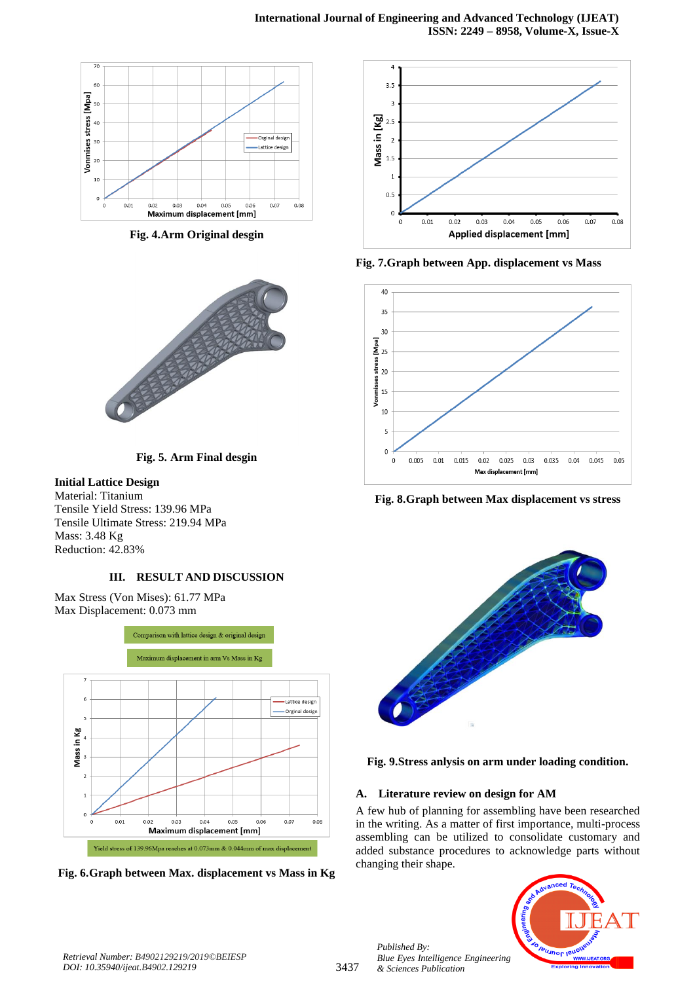

**Fig. 4.Arm Original desgin**



**Fig. 5. Arm Final desgin**

# **Initial Lattice Design**

Material: Titanium Tensile Yield Stress: 139.96 MPa Tensile Ultimate Stress: 219.94 MPa Mass: 3.48 Kg Reduction: 42.83%

# **III. RESULT AND DISCUSSION**

Max Stress (Von Mises): 61.77 MPa Max Displacement: 0.073 mm



**Fig. 6.Graph between Max. displacement vs Mass in Kg**



**Fig. 7.Graph between App. displacement vs Mass**



**Fig. 8.Graph between Max displacement vs stress**





# **A. Literature review on design for AM**

A few hub of planning for assembling have been researched in the writing. As a matter of first importance, multi-process assembling can be utilized to consolidate customary and added substance procedures to acknowledge parts without changing their shape.



*Retrieval Number: B4902129219/2019©BEIESP DOI: 10.35940/ijeat.B4902.129219*

*Published By:*

*& Sciences Publication*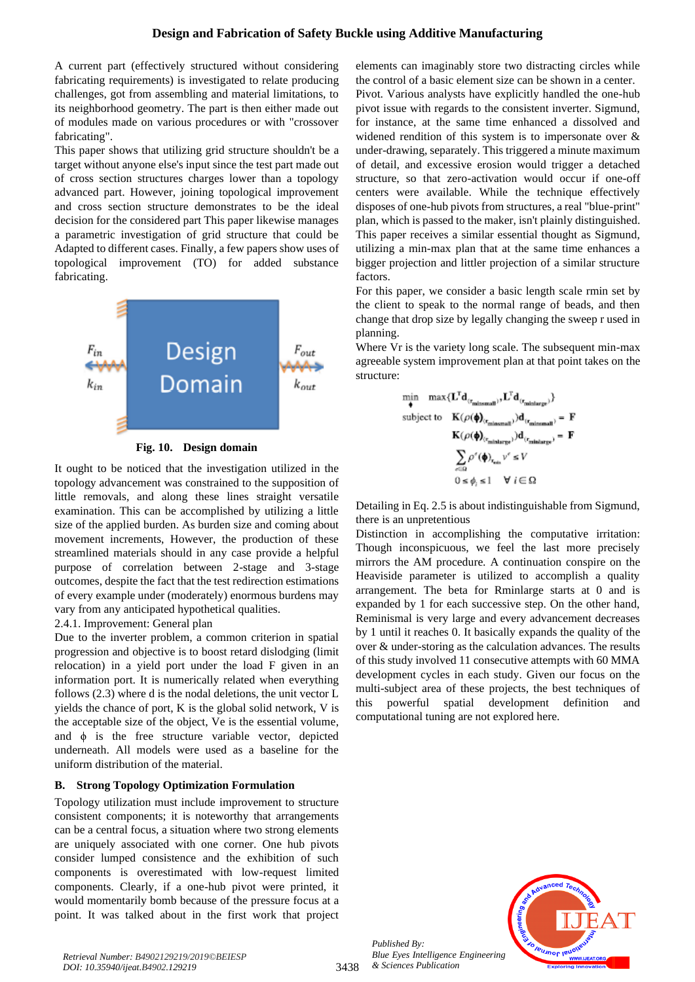A current part (effectively structured without considering fabricating requirements) is investigated to relate producing challenges, got from assembling and material limitations, to its neighborhood geometry. The part is then either made out of modules made on various procedures or with "crossover fabricating".

This paper shows that utilizing grid structure shouldn't be a target without anyone else's input since the test part made out of cross section structures charges lower than a topology advanced part. However, joining topological improvement and cross section structure demonstrates to be the ideal decision for the considered part This paper likewise manages a parametric investigation of grid structure that could be Adapted to different cases. Finally, a few papers show uses of topological improvement (TO) for added substance fabricating.



**Fig. 10. Design domain**

It ought to be noticed that the investigation utilized in the topology advancement was constrained to the supposition of little removals, and along these lines straight versatile examination. This can be accomplished by utilizing a little size of the applied burden. As burden size and coming about movement increments, However, the production of these streamlined materials should in any case provide a helpful purpose of correlation between 2-stage and 3-stage outcomes, despite the fact that the test redirection estimations of every example under (moderately) enormous burdens may vary from any anticipated hypothetical qualities.

#### 2.4.1. Improvement: General plan

Due to the inverter problem, a common criterion in spatial progression and objective is to boost retard dislodging (limit relocation) in a yield port under the load F given in an information port. It is numerically related when everything follows (2.3) where d is the nodal deletions, the unit vector L yields the chance of port, K is the global solid network, V is the acceptable size of the object, Ve is the essential volume, and  $\phi$  is the free structure variable vector, depicted underneath. All models were used as a baseline for the uniform distribution of the material.

# **B. Strong Topology Optimization Formulation**

Topology utilization must include improvement to structure consistent components; it is noteworthy that arrangements can be a central focus, a situation where two strong elements are uniquely associated with one corner. One hub pivots consider lumped consistence and the exhibition of such components is overestimated with low-request limited components. Clearly, if a one-hub pivot were printed, it would momentarily bomb because of the pressure focus at a point. It was talked about in the first work that project elements can imaginably store two distracting circles while the control of a basic element size can be shown in a center. Pivot. Various analysts have explicitly handled the one-hub pivot issue with regards to the consistent inverter. Sigmund, for instance, at the same time enhanced a dissolved and widened rendition of this system is to impersonate over & under-drawing, separately. This triggered a minute maximum of detail, and excessive erosion would trigger a detached structure, so that zero-activation would occur if one-off centers were available. While the technique effectively disposes of one-hub pivots from structures, a real "blue-print" plan, which is passed to the maker, isn't plainly distinguished. This paper receives a similar essential thought as Sigmund, utilizing a min-max plan that at the same time enhances a bigger projection and littler projection of a similar structure factors.

For this paper, we consider a basic length scale rmin set by the client to speak to the normal range of beads, and then change that drop size by legally changing the sweep r used in planning.

Where Vr is the variety long scale. The subsequent min-max agreeable system improvement plan at that point takes on the structure:

$$
\label{eq:optimal} \begin{aligned} \min_{\pmb{\varphi}} \quad & \max \{ \mathbf{L}^T \mathbf{d}_{(r_\text{missmall})}, \mathbf{L}^T \mathbf{d}_{(r_\text{missmall})} \} \\ \text{subject to} \quad & \mathbf{K}(\rho(\pmb{\varphi})_{(r_\text{missmall})}) \mathbf{d}_{(r_\text{missmall})} = \mathbf{F} \\ & \mathbf{K}(\rho(\pmb{\varphi})_{(r_\text{minlimits})}) \mathbf{d}_{(r_\text{minlimits})} = \mathbf{F} \\ & \sum_{c \in \Omega} \rho^c(\pmb{\varphi})_{r_\text{min}} \nu^c \leq V \\ & 0 \leq \phi_i \leq 1 \quad \forall \ i \in \Omega \end{aligned}
$$

Detailing in Eq. 2.5 is about indistinguishable from Sigmund, there is an unpretentious

Distinction in accomplishing the computative irritation: Though inconspicuous, we feel the last more precisely mirrors the AM procedure. A continuation conspire on the Heaviside parameter is utilized to accomplish a quality arrangement. The beta for Rminlarge starts at 0 and is expanded by 1 for each successive step. On the other hand, Reminismal is very large and every advancement decreases by 1 until it reaches 0. It basically expands the quality of the over & under-storing as the calculation advances. The results of this study involved 11 consecutive attempts with 60 MMA development cycles in each study. Given our focus on the multi-subject area of these projects, the best techniques of this powerful spatial development definition and computational tuning are not explored here.